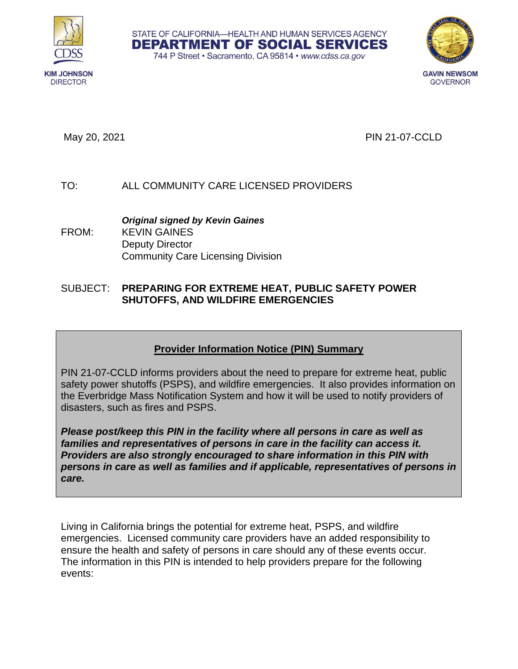



May 20, 2021 PIN 21-07-CCLD

# TO: ALL COMMUNITY CARE LICENSED PROVIDERS

*Original signed by Kevin Gaines*  FROM: KEVIN GAINES Deputy Director Community Care Licensing Division

### SUBJECT: **PREPARING FOR EXTREME HEAT, PUBLIC SAFETY POWER SHUTOFFS, AND WILDFIRE EMERGENCIES**

# **Provider Information Notice (PIN) Summary**

STATE OF CALIFORNIA-HEALTH AND HUMAN SERVICES AGENCY **DEPARTMENT OF SOCIAL SERVICES** 744 P Street · Sacramento, CA 95814 · www.cdss.ca.gov

PIN 21-07-CCLD informs providers about the need to prepare for extreme heat, public safety power shutoffs (PSPS), and wildfire emergencies. It also provides information on the Everbridge Mass Notification System and how it will be used to notify providers of disasters, such as fires and PSPS.

*Please post/keep this PIN in the facility where all persons in care as well as families and representatives of persons in care in the facility can access it. Providers are also strongly encouraged to share information in this PIN with persons in care as well as families and if applicable, representatives of persons in care.*

Living in California brings the potential for extreme heat, PSPS, and wildfire emergencies. Licensed community care providers have an added responsibility to ensure the health and safety of persons in care should any of these events occur. The information in this PIN is intended to help providers prepare for the following events: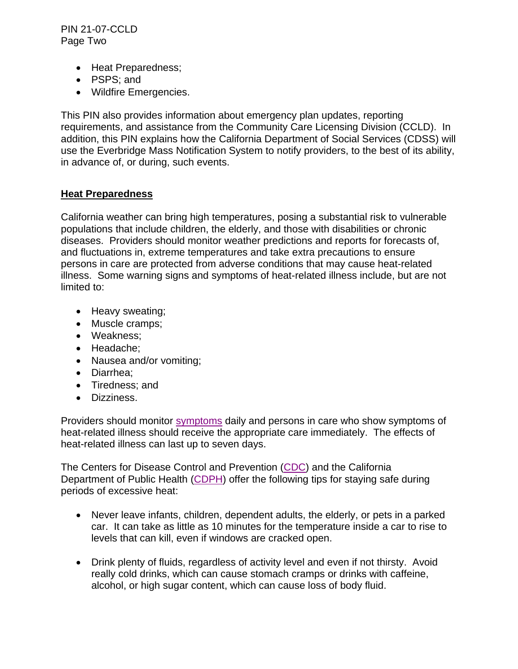PIN 21-07-CCLD Page Two

- Heat Preparedness;
- PSPS; and
- Wildfire Emergencies.

This PIN also provides information about emergency plan updates, reporting requirements, and assistance from the Community Care Licensing Division (CCLD). In addition, this PIN explains how the California Department of Social Services (CDSS) will use the Everbridge Mass Notification System to notify providers, to the best of its ability, in advance of, or during, such events.

### **Heat Preparedness**

California weather can bring high temperatures, posing a substantial risk to vulnerable populations that include children, the elderly, and those with disabilities or chronic diseases. Providers should monitor weather predictions and reports for forecasts of, and fluctuations in, extreme temperatures and take extra precautions to ensure persons in care are protected from adverse conditions that may cause heat-related illness. Some warning signs and symptoms of heat-related illness include, but are not limited to:

- Heavy sweating;
- Muscle cramps;
- Weakness;
- Headache;
- Nausea and/or vomiting;
- Diarrhea;
- Tiredness; and
- Dizziness.

Providers should monitor [symptoms](https://www.cdc.gov/disasters/extremeheat/warning.html) daily and persons in care who show symptoms of heat-related illness should receive the appropriate care immediately. The effects of heat-related illness can last up to seven days.

The Centers for Disease Control and Prevention [\(CDC\)](https://www.cdc.gov/disasters/extremeheat/heattips.html) and the California Department of Public Health [\(CDPH\)](https://www.cdph.ca.gov/Programs/EPO/Pages/BI_Natural-Disasters_Extreme-Heat_Tips-for-Preventing-Heat-Related-Illness.aspx) offer the following tips for staying safe during periods of excessive heat:

- Never leave infants, children, dependent adults, the elderly, or pets in a parked car. It can take as little as 10 minutes for the temperature inside a car to rise to levels that can kill, even if windows are cracked open.
- Drink plenty of fluids, regardless of activity level and even if not thirsty. Avoid really cold drinks, which can cause stomach cramps or drinks with caffeine, alcohol, or high sugar content, which can cause loss of body fluid.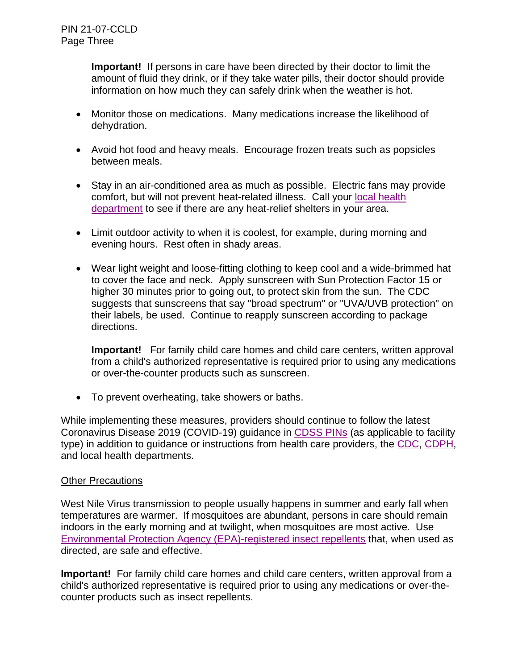**Important!** If persons in care have been directed by their doctor to limit the amount of fluid they drink, or if they take water pills, their doctor should provide information on how much they can safely drink when the weather is hot.

- Monitor those on medications. Many medications increase the likelihood of dehydration.
- Avoid hot food and heavy meals. Encourage frozen treats such as popsicles between meals.
- Stay in an air-conditioned area as much as possible. Electric fans may provide comfort, but will not prevent heat-related illness. Call your [local health](https://www.cdph.ca.gov/Pages/LocalHealthServicesAndOffices.aspx#S)  [department](https://www.cdph.ca.gov/Pages/LocalHealthServicesAndOffices.aspx#S) to see if there are any heat-relief shelters in your area.
- Limit outdoor activity to when it is coolest, for example, during morning and evening hours. Rest often in shady areas.
- Wear light weight and loose-fitting clothing to keep cool and a wide-brimmed hat to cover the face and neck. Apply sunscreen with Sun Protection Factor 15 or higher 30 minutes prior to going out, to protect skin from the sun. The CDC suggests that sunscreens that say "broad spectrum" or "UVA/UVB protection" on their labels, be used. Continue to reapply sunscreen according to package directions.

**Important!** For family child care homes and child care centers, written approval from a child's authorized representative is required prior to using any medications or over-the-counter products such as sunscreen.

• To prevent overheating, take showers or baths.

While implementing these measures, providers should continue to follow the latest Coronavirus Disease 2019 (COVID-19) guidance in [CDSS PINs](https://www.cdss.ca.gov/inforesources/community-care-licensing/policy/provider-information-notices) (as applicable to facility type) in addition to guidance or instructions from health care providers, the [CDC,](https://www.cdc.gov/coronavirus/2019-ncov/hcp/us-healthcare-facilities.html) [CDPH,](https://www.cdph.ca.gov/Programs/CID/DCDC/Pages/Immunization/ncov2019.aspx) and local health departments.

### Other Precautions

West Nile Virus transmission to people usually happens in summer and early fall when temperatures are warmer. If mosquitoes are abundant, persons in care should remain indoors in the early morning and at twilight, when mosquitoes are most active. Use [Environmental Protection Agency \(EPA\)-registered insect repellents](https://www.epa.gov/insect-repellents/find-repellent-right-you) that, when used as directed, are safe and effective.

**Important!** For family child care homes and child care centers, written approval from a child's authorized representative is required prior to using any medications or over-thecounter products such as insect repellents.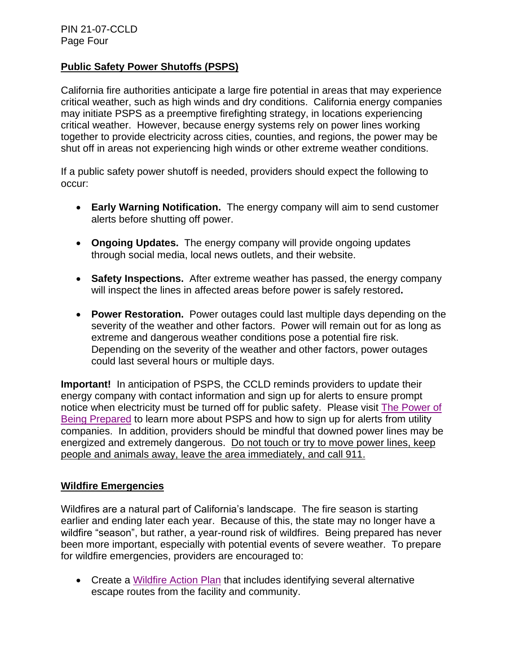### **Public Safety Power Shutoffs (PSPS)**

California fire authorities anticipate a large fire potential in areas that may experience critical weather, such as high winds and dry conditions. California energy companies may initiate PSPS as a preemptive firefighting strategy, in locations experiencing critical weather. However, because energy systems rely on power lines working together to provide electricity across cities, counties, and regions, the power may be shut off in areas not experiencing high winds or other extreme weather conditions.

If a public safety power shutoff is needed, providers should expect the following to occur:

- **Early Warning Notification.** The energy company will aim to send customer alerts before shutting off power.
- **Ongoing Updates.** The energy company will provide ongoing updates through social media, local news outlets, and their website.
- **Safety Inspections.** After extreme weather has passed, the energy company will inspect the lines in affected areas before power is safely restored**.**
- **Power Restoration.** Power outages could last multiple days depending on the severity of the weather and other factors. Power will remain out for as long as extreme and dangerous weather conditions pose a potential fire risk. Depending on the severity of the weather and other factors, power outages could last several hours or multiple days.

**Important!** In anticipation of PSPS, the CCLD reminds providers to update their energy company with contact information and sign up for alerts to ensure prompt notice when electricity must be turned off for public safety. Please visit The [Power of](https://prepareforpowerdown.com/)  [Being Prepared](https://prepareforpowerdown.com/) to learn more about PSPS and how to sign up for alerts from utility companies. In addition, providers should be mindful that downed power lines may be energized and extremely dangerous. Do not touch or try to move power lines, keep people and animals away, leave the area immediately, and call 911.

### **Wildfire Emergencies**

Wildfires are a natural part of California's landscape. The fire season is starting earlier and ending later each year. Because of this, the state may no longer have a wildfire "season", but rather, a year-round risk of wildfires. Being prepared has never been more important, especially with potential events of severe weather. To prepare for wildfire emergencies, providers are encouraged to:

• Create a [Wildfire Action Plan](http://www.readyforwildfire.org/Wildfire-Action-Plan/) that includes identifying several alternative escape routes from the facility and community.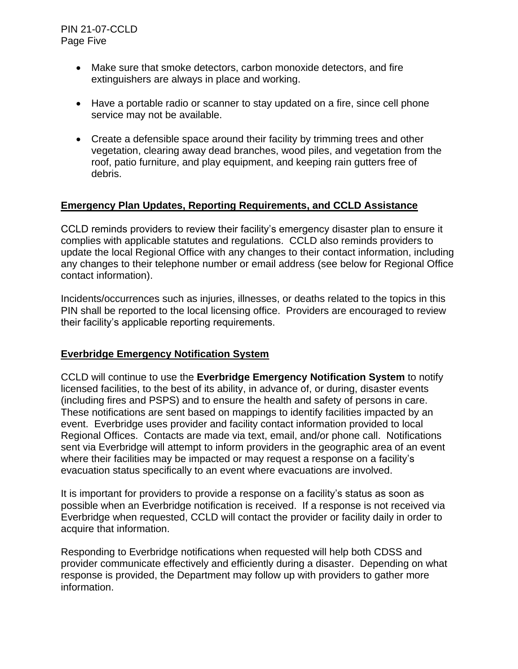- Make sure that smoke detectors, carbon monoxide detectors, and fire extinguishers are always in place and working.
- Have a portable radio or scanner to stay updated on a fire, since cell phone service may not be available.
- Create a defensible space around their facility by trimming trees and other vegetation, clearing away dead branches, wood piles, and vegetation from the roof, patio furniture, and play equipment, and keeping rain gutters free of debris.

# **Emergency Plan Updates, Reporting Requirements, and CCLD Assistance**

CCLD reminds providers to review their facility's emergency disaster plan to ensure it complies with applicable statutes and regulations. CCLD also reminds providers to update the local Regional Office with any changes to their contact information, including any changes to their telephone number or email address (see below for Regional Office contact information).

Incidents/occurrences such as injuries, illnesses, or deaths related to the topics in this PIN shall be reported to the local licensing office. Providers are encouraged to review their facility's applicable reporting requirements.

### **Everbridge Emergency Notification System**

CCLD will continue to use the **Everbridge Emergency Notification System** to notify licensed facilities, to the best of its ability, in advance of, or during, disaster events (including fires and PSPS) and to ensure the health and safety of persons in care. These notifications are sent based on mappings to identify facilities impacted by an event. Everbridge uses provider and facility contact information provided to local Regional Offices. Contacts are made via text, email, and/or phone call. Notifications sent via Everbridge will attempt to inform providers in the geographic area of an event where their facilities may be impacted or may request a response on a facility's evacuation status specifically to an event where evacuations are involved.

It is important for providers to provide a response on a facility's status as soon as possible when an Everbridge notification is received. If a response is not received via Everbridge when requested, CCLD will contact the provider or facility daily in order to acquire that information.

Responding to Everbridge notifications when requested will help both CDSS and provider communicate effectively and efficiently during a disaster. Depending on what response is provided, the Department may follow up with providers to gather more information.